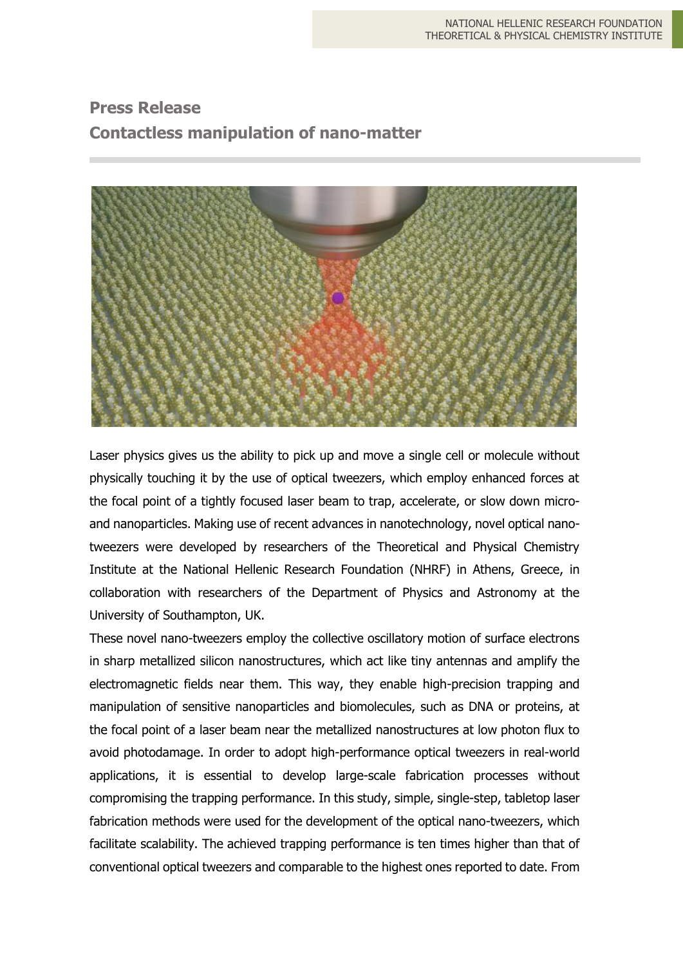## **Press Release Contactless manipulation of nano-matter**



Laser physics gives us the ability to pick up and move a single cell or molecule without physically touching it by the use of optical tweezers, which employ enhanced forces at the focal point of a tightly focused laser beam to trap, accelerate, or slow down microand nanoparticles. Making use of recent advances in nanotechnology, novel optical nanotweezers were developed by researchers of the Theoretical and Physical Chemistry Institute at the National Hellenic Research Foundation (NHRF) in Athens, Greece, in collaboration with researchers of the Department of Physics and Astronomy at the University of Southampton, UK.

These novel nano-tweezers employ the collective oscillatory motion of surface electrons in sharp metallized silicon nanostructures, which act like tiny antennas and amplify the electromagnetic fields near them. This way, they enable high-precision trapping and manipulation of sensitive nanoparticles and biomolecules, such as DNA or proteins, at the focal point of a laser beam near the metallized nanostructures at low photon flux to avoid photodamage. In order to adopt high-performance optical tweezers in real-world applications, it is essential to develop large-scale fabrication processes without compromising the trapping performance. In this study, simple, single-step, tabletop laser fabrication methods were used for the development of the optical nano-tweezers, which facilitate scalability. The achieved trapping performance is ten times higher than that of conventional optical tweezers and comparable to the highest ones reported to date. From